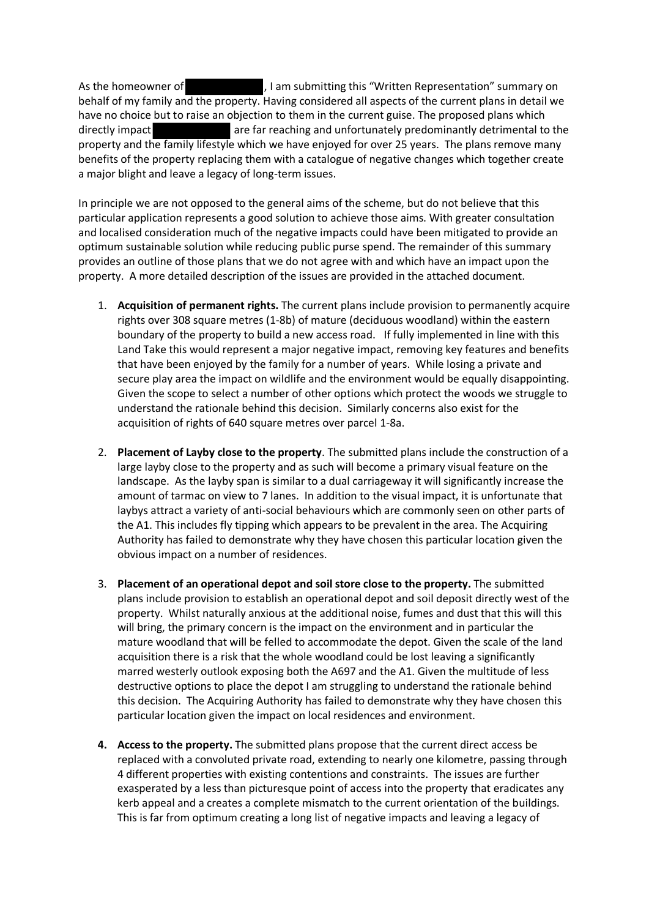As the homeowner of  $\blacksquare$ , I am submitting this "Written Representation" summary on behalf of my family and the property. Having considered all aspects of the current plans in detail we have no choice but to raise an objection to them in the current guise. The proposed plans which directly impact **are far reaching and unfortunately predominantly detrimental to the** property and the family lifestyle which we have enjoyed for over 25 years. The plans remove many benefits of the property replacing them with a catalogue of negative changes which together create a major blight and leave a legacy of long-term issues.

In principle we are not opposed to the general aims of the scheme, but do not believe that this particular application represents a good solution to achieve those aims. With greater consultation and localised consideration much of the negative impacts could have been mitigated to provide an optimum sustainable solution while reducing public purse spend. The remainder of this summary provides an outline of those plans that we do not agree with and which have an impact upon the property. A more detailed description of the issues are provided in the attached document.

- 1. **Acquisition of permanent rights.** The current plans include provision to permanently acquire rights over 308 square metres (1-8b) of mature (deciduous woodland) within the eastern boundary of the property to build a new access road. If fully implemented in line with this Land Take this would represent a major negative impact, removing key features and benefits that have been enjoyed by the family for a number of years. While losing a private and secure play area the impact on wildlife and the environment would be equally disappointing. Given the scope to select a number of other options which protect the woods we struggle to understand the rationale behind this decision. Similarly concerns also exist for the acquisition of rights of 640 square metres over parcel 1-8a.
- 2. **Placement of Layby close to the property**. The submitted plans include the construction of a large layby close to the property and as such will become a primary visual feature on the landscape. As the layby span is similar to a dual carriageway it will significantly increase the amount of tarmac on view to 7 lanes. In addition to the visual impact, it is unfortunate that laybys attract a variety of anti-social behaviours which are commonly seen on other parts of the A1. This includes fly tipping which appears to be prevalent in the area. The Acquiring Authority has failed to demonstrate why they have chosen this particular location given the obvious impact on a number of residences.
- 3. **Placement of an operational depot and soil store close to the property.** The submitted plans include provision to establish an operational depot and soil deposit directly west of the property. Whilst naturally anxious at the additional noise, fumes and dust that this will this will bring, the primary concern is the impact on the environment and in particular the mature woodland that will be felled to accommodate the depot. Given the scale of the land acquisition there is a risk that the whole woodland could be lost leaving a significantly marred westerly outlook exposing both the A697 and the A1. Given the multitude of less destructive options to place the depot I am struggling to understand the rationale behind this decision. The Acquiring Authority has failed to demonstrate why they have chosen this particular location given the impact on local residences and environment.
- **4. Access to the property.** The submitted plans propose that the current direct access be replaced with a convoluted private road, extending to nearly one kilometre, passing through 4 different properties with existing contentions and constraints. The issues are further exasperated by a less than picturesque point of access into the property that eradicates any kerb appeal and a creates a complete mismatch to the current orientation of the buildings. This is far from optimum creating a long list of negative impacts and leaving a legacy of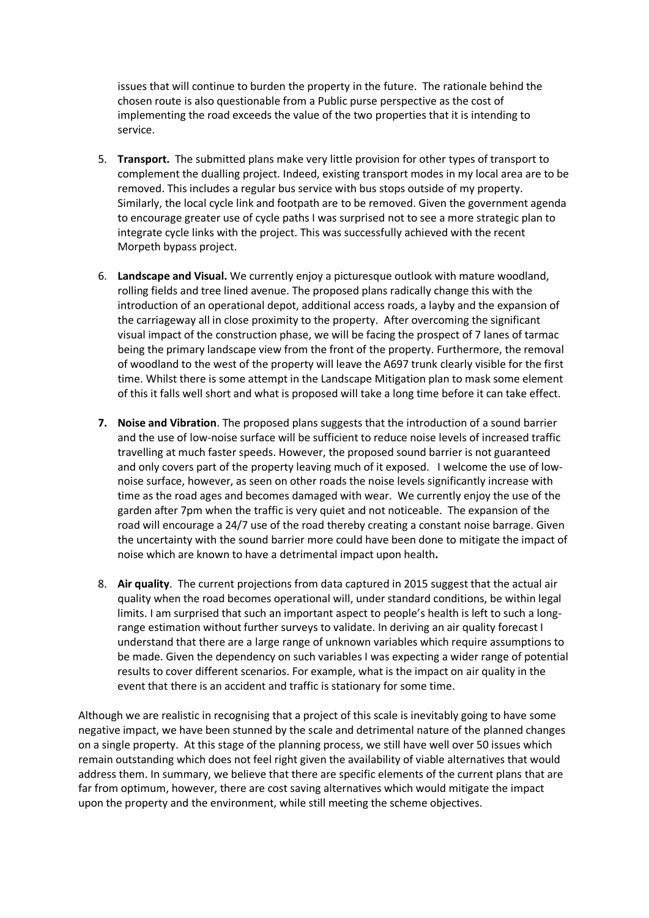issues that will continue to burden the property in the future. The rationale behind the chosen route is also questionable from a Public purse perspective as the cost of implementing the road exceeds the value of the two properties that it is intending to service.

- 5. **Transport.** The submitted plans make very little provision for other types of transport to complement the dualling project. Indeed, existing transport modes in my local area are to be removed. This includes a regular bus service with bus stops outside of my property. Similarly, the local cycle link and footpath are to be removed. Given the government agenda to encourage greater use of cycle paths I was surprised not to see a more strategic plan to integrate cycle links with the project. This was successfully achieved with the recent Morpeth bypass project.
- 6. **Landscape and Visual.** We currently enjoy a picturesque outlook with mature woodland, rolling fields and tree lined avenue. The proposed plans radically change this with the introduction of an operational depot, additional access roads, a layby and the expansion of the carriageway all in close proximity to the property. After overcoming the significant visual impact of the construction phase, we will be facing the prospect of 7 lanes of tarmac being the primary landscape view from the front of the property. Furthermore, the removal of woodland to the west of the property will leave the A697 trunk clearly visible for the first time. Whilst there is some attempt in the Landscape Mitigation plan to mask some element of this it falls well short and what is proposed will take a long time before it can take effect.
- **7. Noise and Vibration**. The proposed plans suggests that the introduction of a sound barrier and the use of low-noise surface will be sufficient to reduce noise levels of increased traffic travelling at much faster speeds. However, the proposed sound barrier is not guaranteed and only covers part of the property leaving much of it exposed. I welcome the use of lownoise surface, however, as seen on other roads the noise levels significantly increase with time as the road ages and becomes damaged with wear. We currently enjoy the use of the garden after 7pm when the traffic is very quiet and not noticeable. The expansion of the road will encourage a 24/7 use of the road thereby creating a constant noise barrage. Given the uncertainty with the sound barrier more could have been done to mitigate the impact of noise which are known to have a detrimental impact upon health**.**
- 8. **Air quality**. The current projections from data captured in 2015 suggest that the actual air quality when the road becomes operational will, under standard conditions, be within legal limits. I am surprised that such an important aspect to people's health is left to such a longrange estimation without further surveys to validate. In deriving an air quality forecast I understand that there are a large range of unknown variables which require assumptions to be made. Given the dependency on such variables I was expecting a wider range of potential results to cover different scenarios. For example, what is the impact on air quality in the event that there is an accident and traffic is stationary for some time.

Although we are realistic in recognising that a project of this scale is inevitably going to have some negative impact, we have been stunned by the scale and detrimental nature of the planned changes on a single property. At this stage of the planning process, we still have well over 50 issues which remain outstanding which does not feel right given the availability of viable alternatives that would address them. In summary, we believe that there are specific elements of the current plans that are far from optimum, however, there are cost saving alternatives which would mitigate the impact upon the property and the environment, while still meeting the scheme objectives.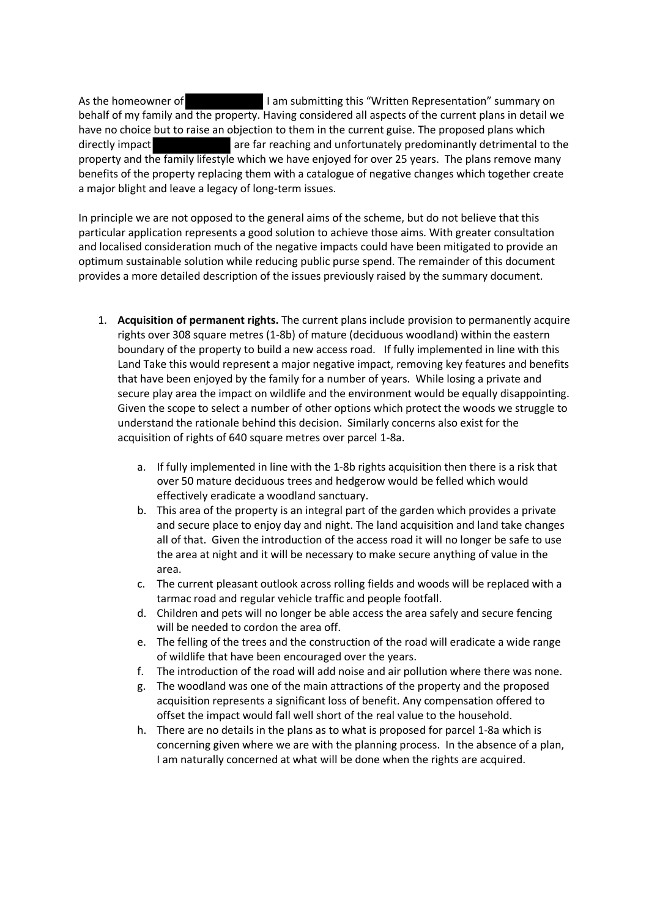As the homeowner of **I am submitting this "Written Representation"** summary on behalf of my family and the property. Having considered all aspects of the current plans in detail we have no choice but to raise an objection to them in the current guise. The proposed plans which directly impact are far reaching and unfortunately predominantly detrimental to the property and the family lifestyle which we have enjoyed for over 25 years. The plans remove many benefits of the property replacing them with a catalogue of negative changes which together create a major blight and leave a legacy of long-term issues.

In principle we are not opposed to the general aims of the scheme, but do not believe that this particular application represents a good solution to achieve those aims. With greater consultation and localised consideration much of the negative impacts could have been mitigated to provide an optimum sustainable solution while reducing public purse spend. The remainder of this document provides a more detailed description of the issues previously raised by the summary document.

- 1. **Acquisition of permanent rights.** The current plans include provision to permanently acquire rights over 308 square metres (1-8b) of mature (deciduous woodland) within the eastern boundary of the property to build a new access road. If fully implemented in line with this Land Take this would represent a major negative impact, removing key features and benefits that have been enjoyed by the family for a number of years. While losing a private and secure play area the impact on wildlife and the environment would be equally disappointing. Given the scope to select a number of other options which protect the woods we struggle to understand the rationale behind this decision. Similarly concerns also exist for the acquisition of rights of 640 square metres over parcel 1-8a.
	- a. If fully implemented in line with the 1-8b rights acquisition then there is a risk that over 50 mature deciduous trees and hedgerow would be felled which would effectively eradicate a woodland sanctuary.
	- b. This area of the property is an integral part of the garden which provides a private and secure place to enjoy day and night. The land acquisition and land take changes all of that. Given the introduction of the access road it will no longer be safe to use the area at night and it will be necessary to make secure anything of value in the area.
	- c. The current pleasant outlook across rolling fields and woods will be replaced with a tarmac road and regular vehicle traffic and people footfall.
	- d. Children and pets will no longer be able access the area safely and secure fencing will be needed to cordon the area off.
	- e. The felling of the trees and the construction of the road will eradicate a wide range of wildlife that have been encouraged over the years.
	- f. The introduction of the road will add noise and air pollution where there was none.
	- g. The woodland was one of the main attractions of the property and the proposed acquisition represents a significant loss of benefit. Any compensation offered to offset the impact would fall well short of the real value to the household.
	- h. There are no details in the plans as to what is proposed for parcel 1-8a which is concerning given where we are with the planning process. In the absence of a plan, I am naturally concerned at what will be done when the rights are acquired.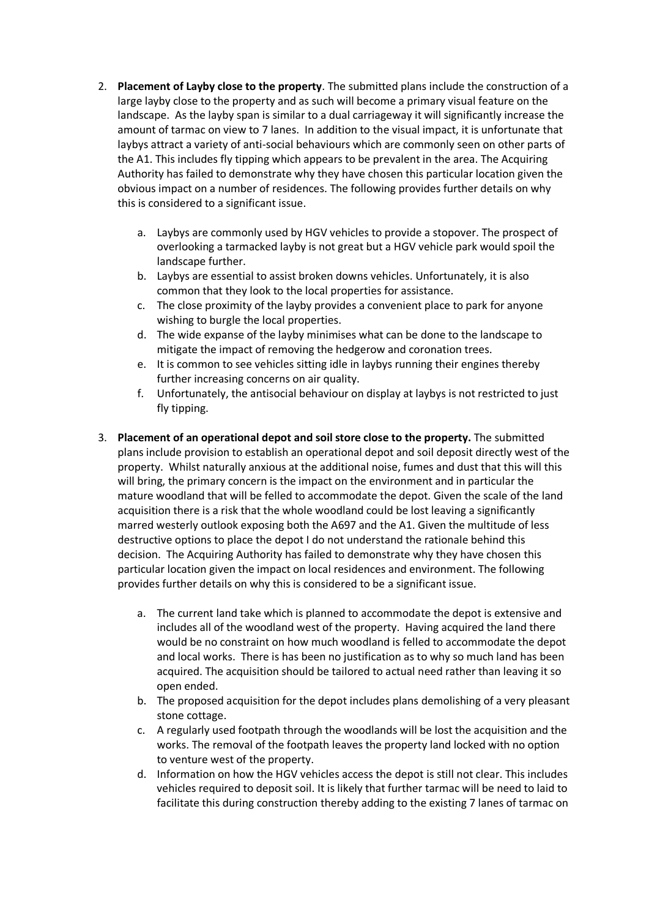- 2. **Placement of Layby close to the property**. The submitted plans include the construction of a large layby close to the property and as such will become a primary visual feature on the landscape. As the layby span is similar to a dual carriageway it will significantly increase the amount of tarmac on view to 7 lanes. In addition to the visual impact, it is unfortunate that laybys attract a variety of anti-social behaviours which are commonly seen on other parts of the A1. This includes fly tipping which appears to be prevalent in the area. The Acquiring Authority has failed to demonstrate why they have chosen this particular location given the obvious impact on a number of residences. The following provides further details on why this is considered to a significant issue.
	- a. Laybys are commonly used by HGV vehicles to provide a stopover. The prospect of overlooking a tarmacked layby is not great but a HGV vehicle park would spoil the landscape further.
	- b. Laybys are essential to assist broken downs vehicles. Unfortunately, it is also common that they look to the local properties for assistance.
	- c. The close proximity of the layby provides a convenient place to park for anyone wishing to burgle the local properties.
	- d. The wide expanse of the layby minimises what can be done to the landscape to mitigate the impact of removing the hedgerow and coronation trees.
	- e. It is common to see vehicles sitting idle in laybys running their engines thereby further increasing concerns on air quality.
	- f. Unfortunately, the antisocial behaviour on display at laybys is not restricted to just fly tipping.
- 3. **Placement of an operational depot and soil store close to the property.** The submitted plans include provision to establish an operational depot and soil deposit directly west of the property. Whilst naturally anxious at the additional noise, fumes and dust that this will this will bring, the primary concern is the impact on the environment and in particular the mature woodland that will be felled to accommodate the depot. Given the scale of the land acquisition there is a risk that the whole woodland could be lost leaving a significantly marred westerly outlook exposing both the A697 and the A1. Given the multitude of less destructive options to place the depot I do not understand the rationale behind this decision. The Acquiring Authority has failed to demonstrate why they have chosen this particular location given the impact on local residences and environment. The following provides further details on why this is considered to be a significant issue.
	- a. The current land take which is planned to accommodate the depot is extensive and includes all of the woodland west of the property. Having acquired the land there would be no constraint on how much woodland is felled to accommodate the depot and local works. There is has been no justification as to why so much land has been acquired. The acquisition should be tailored to actual need rather than leaving it so open ended.
	- b. The proposed acquisition for the depot includes plans demolishing of a very pleasant stone cottage.
	- c. A regularly used footpath through the woodlands will be lost the acquisition and the works. The removal of the footpath leaves the property land locked with no option to venture west of the property.
	- d. Information on how the HGV vehicles access the depot is still not clear. This includes vehicles required to deposit soil. It is likely that further tarmac will be need to laid to facilitate this during construction thereby adding to the existing 7 lanes of tarmac on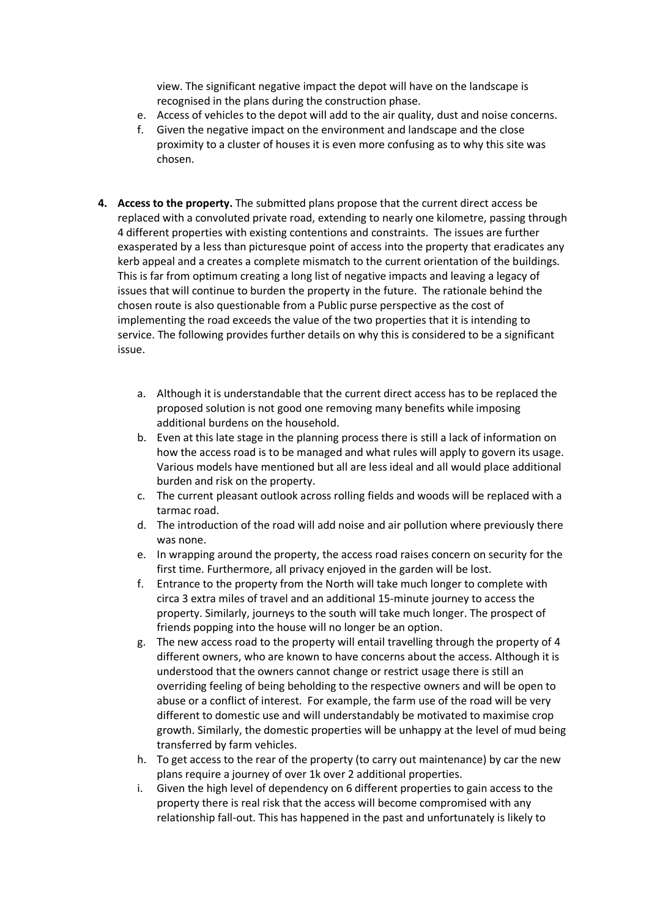view. The significant negative impact the depot will have on the landscape is recognised in the plans during the construction phase.

- e. Access of vehicles to the depot will add to the air quality, dust and noise concerns.
- f. Given the negative impact on the environment and landscape and the close proximity to a cluster of houses it is even more confusing as to why this site was chosen.
- **4. Access to the property.** The submitted plans propose that the current direct access be replaced with a convoluted private road, extending to nearly one kilometre, passing through 4 different properties with existing contentions and constraints. The issues are further exasperated by a less than picturesque point of access into the property that eradicates any kerb appeal and a creates a complete mismatch to the current orientation of the buildings. This is far from optimum creating a long list of negative impacts and leaving a legacy of issues that will continue to burden the property in the future. The rationale behind the chosen route is also questionable from a Public purse perspective as the cost of implementing the road exceeds the value of the two properties that it is intending to service. The following provides further details on why this is considered to be a significant issue.
	- a. Although it is understandable that the current direct access has to be replaced the proposed solution is not good one removing many benefits while imposing additional burdens on the household.
	- b. Even at this late stage in the planning process there is still a lack of information on how the access road is to be managed and what rules will apply to govern its usage. Various models have mentioned but all are less ideal and all would place additional burden and risk on the property.
	- c. The current pleasant outlook across rolling fields and woods will be replaced with a tarmac road.
	- d. The introduction of the road will add noise and air pollution where previously there was none.
	- e. In wrapping around the property, the access road raises concern on security for the first time. Furthermore, all privacy enjoyed in the garden will be lost.
	- f. Entrance to the property from the North will take much longer to complete with circa 3 extra miles of travel and an additional 15-minute journey to access the property. Similarly, journeys to the south will take much longer. The prospect of friends popping into the house will no longer be an option.
	- g. The new access road to the property will entail travelling through the property of 4 different owners, who are known to have concerns about the access. Although it is understood that the owners cannot change or restrict usage there is still an overriding feeling of being beholding to the respective owners and will be open to abuse or a conflict of interest. For example, the farm use of the road will be very different to domestic use and will understandably be motivated to maximise crop growth. Similarly, the domestic properties will be unhappy at the level of mud being transferred by farm vehicles.
	- h. To get access to the rear of the property (to carry out maintenance) by car the new plans require a journey of over 1k over 2 additional properties.
	- i. Given the high level of dependency on 6 different properties to gain access to the property there is real risk that the access will become compromised with any relationship fall-out. This has happened in the past and unfortunately is likely to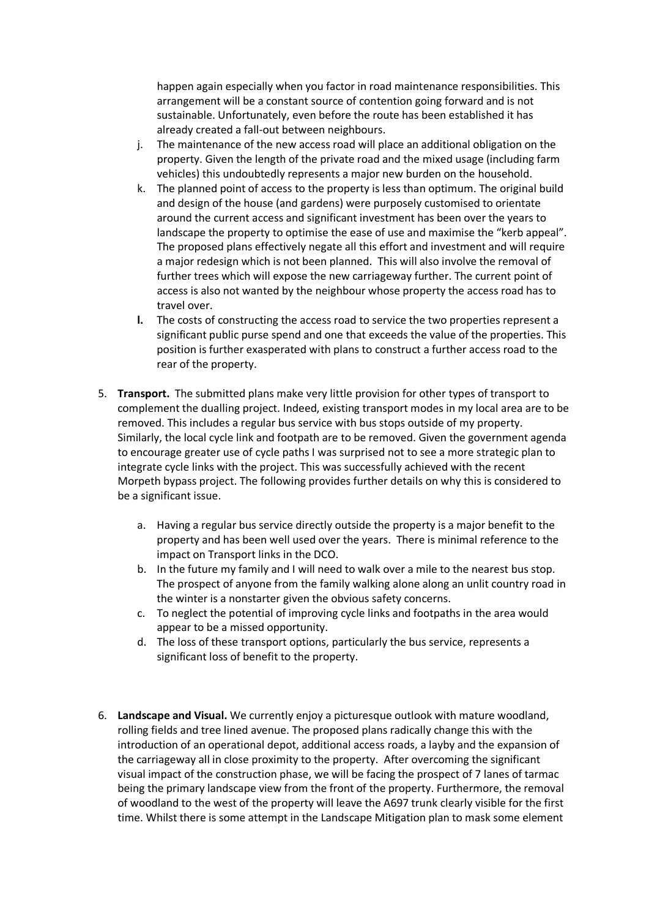happen again especially when you factor in road maintenance responsibilities. This arrangement will be a constant source of contention going forward and is not sustainable. Unfortunately, even before the route has been established it has already created a fall-out between neighbours.

- j. The maintenance of the new access road will place an additional obligation on the property. Given the length of the private road and the mixed usage (including farm vehicles) this undoubtedly represents a major new burden on the household.
- k. The planned point of access to the property is less than optimum. The original build and design of the house (and gardens) were purposely customised to orientate around the current access and significant investment has been over the years to landscape the property to optimise the ease of use and maximise the "kerb appeal". The proposed plans effectively negate all this effort and investment and will require a major redesign which is not been planned. This will also involve the removal of further trees which will expose the new carriageway further. The current point of access is also not wanted by the neighbour whose property the access road has to travel over.
- **l.** The costs of constructing the access road to service the two properties represent a significant public purse spend and one that exceeds the value of the properties. This position is further exasperated with plans to construct a further access road to the rear of the property.
- 5. **Transport.** The submitted plans make very little provision for other types of transport to complement the dualling project. Indeed, existing transport modes in my local area are to be removed. This includes a regular bus service with bus stops outside of my property. Similarly, the local cycle link and footpath are to be removed. Given the government agenda to encourage greater use of cycle paths I was surprised not to see a more strategic plan to integrate cycle links with the project. This was successfully achieved with the recent Morpeth bypass project. The following provides further details on why this is considered to be a significant issue.
	- a. Having a regular bus service directly outside the property is a major benefit to the property and has been well used over the years. There is minimal reference to the impact on Transport links in the DCO.
	- b. In the future my family and I will need to walk over a mile to the nearest bus stop. The prospect of anyone from the family walking alone along an unlit country road in the winter is a nonstarter given the obvious safety concerns.
	- c. To neglect the potential of improving cycle links and footpaths in the area would appear to be a missed opportunity.
	- d. The loss of these transport options, particularly the bus service, represents a significant loss of benefit to the property.
- 6. **Landscape and Visual.** We currently enjoy a picturesque outlook with mature woodland, rolling fields and tree lined avenue. The proposed plans radically change this with the introduction of an operational depot, additional access roads, a layby and the expansion of the carriageway all in close proximity to the property. After overcoming the significant visual impact of the construction phase, we will be facing the prospect of 7 lanes of tarmac being the primary landscape view from the front of the property. Furthermore, the removal of woodland to the west of the property will leave the A697 trunk clearly visible for the first time. Whilst there is some attempt in the Landscape Mitigation plan to mask some element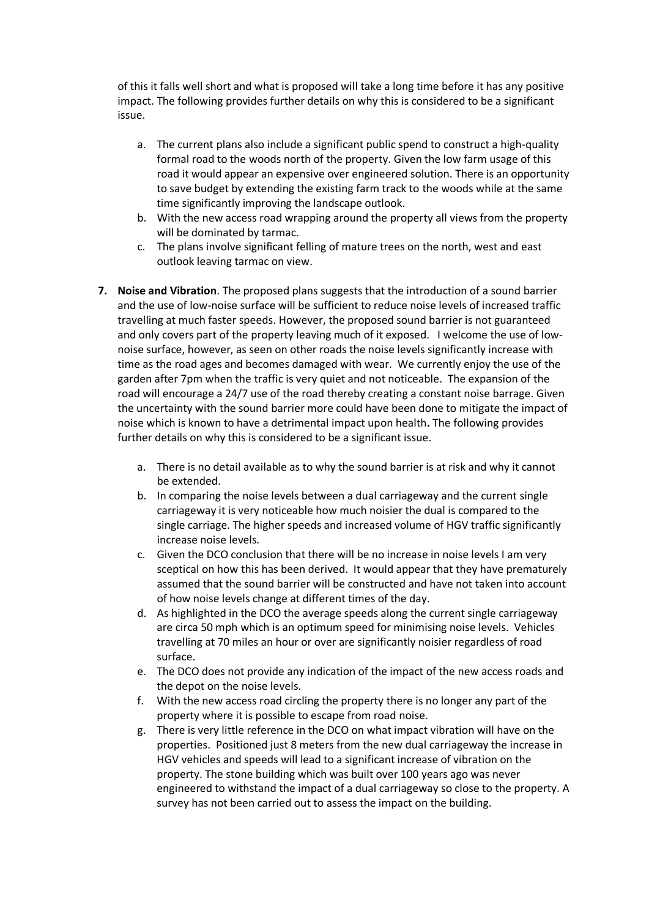of this it falls well short and what is proposed will take a long time before it has any positive impact. The following provides further details on why this is considered to be a significant issue.

- a. The current plans also include a significant public spend to construct a high-quality formal road to the woods north of the property. Given the low farm usage of this road it would appear an expensive over engineered solution. There is an opportunity to save budget by extending the existing farm track to the woods while at the same time significantly improving the landscape outlook.
- b. With the new access road wrapping around the property all views from the property will be dominated by tarmac.
- c. The plans involve significant felling of mature trees on the north, west and east outlook leaving tarmac on view.
- **7. Noise and Vibration**. The proposed plans suggests that the introduction of a sound barrier and the use of low-noise surface will be sufficient to reduce noise levels of increased traffic travelling at much faster speeds. However, the proposed sound barrier is not guaranteed and only covers part of the property leaving much of it exposed. I welcome the use of lownoise surface, however, as seen on other roads the noise levels significantly increase with time as the road ages and becomes damaged with wear. We currently enjoy the use of the garden after 7pm when the traffic is very quiet and not noticeable. The expansion of the road will encourage a 24/7 use of the road thereby creating a constant noise barrage. Given the uncertainty with the sound barrier more could have been done to mitigate the impact of noise which is known to have a detrimental impact upon health**.** The following provides further details on why this is considered to be a significant issue.
	- a. There is no detail available as to why the sound barrier is at risk and why it cannot be extended.
	- b. In comparing the noise levels between a dual carriageway and the current single carriageway it is very noticeable how much noisier the dual is compared to the single carriage. The higher speeds and increased volume of HGV traffic significantly increase noise levels.
	- c. Given the DCO conclusion that there will be no increase in noise levels I am very sceptical on how this has been derived. It would appear that they have prematurely assumed that the sound barrier will be constructed and have not taken into account of how noise levels change at different times of the day.
	- d. As highlighted in the DCO the average speeds along the current single carriageway are circa 50 mph which is an optimum speed for minimising noise levels. Vehicles travelling at 70 miles an hour or over are significantly noisier regardless of road surface.
	- e. The DCO does not provide any indication of the impact of the new access roads and the depot on the noise levels.
	- f. With the new access road circling the property there is no longer any part of the property where it is possible to escape from road noise.
	- g. There is very little reference in the DCO on what impact vibration will have on the properties. Positioned just 8 meters from the new dual carriageway the increase in HGV vehicles and speeds will lead to a significant increase of vibration on the property. The stone building which was built over 100 years ago was never engineered to withstand the impact of a dual carriageway so close to the property. A survey has not been carried out to assess the impact on the building.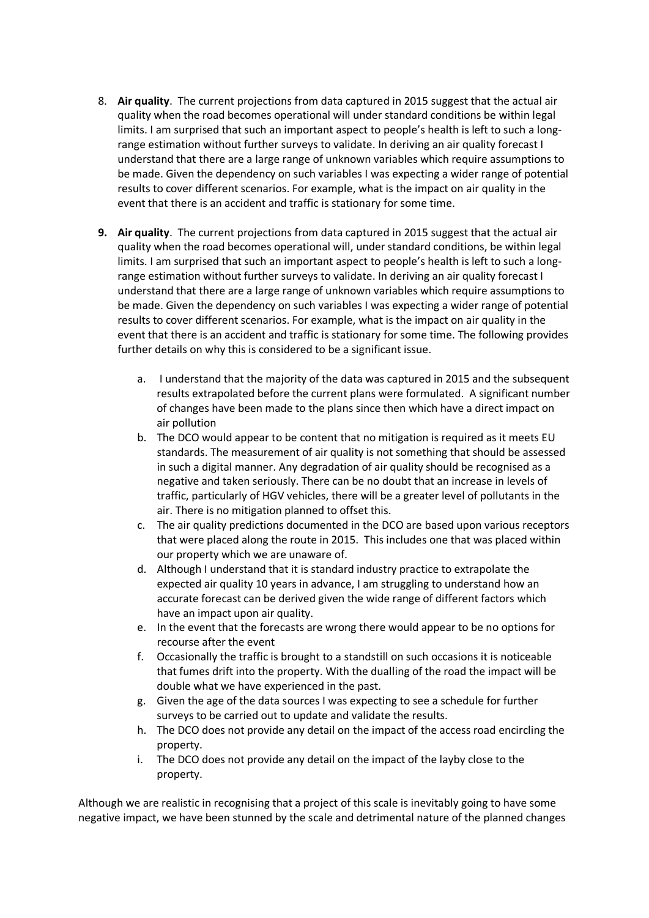- 8. **Air quality**. The current projections from data captured in 2015 suggest that the actual air quality when the road becomes operational will under standard conditions be within legal limits. I am surprised that such an important aspect to people's health is left to such a longrange estimation without further surveys to validate. In deriving an air quality forecast I understand that there are a large range of unknown variables which require assumptions to be made. Given the dependency on such variables I was expecting a wider range of potential results to cover different scenarios. For example, what is the impact on air quality in the event that there is an accident and traffic is stationary for some time.
- **9. Air quality**. The current projections from data captured in 2015 suggest that the actual air quality when the road becomes operational will, under standard conditions, be within legal limits. I am surprised that such an important aspect to people's health is left to such a longrange estimation without further surveys to validate. In deriving an air quality forecast I understand that there are a large range of unknown variables which require assumptions to be made. Given the dependency on such variables I was expecting a wider range of potential results to cover different scenarios. For example, what is the impact on air quality in the event that there is an accident and traffic is stationary for some time. The following provides further details on why this is considered to be a significant issue.
	- a. I understand that the majority of the data was captured in 2015 and the subsequent results extrapolated before the current plans were formulated. A significant number of changes have been made to the plans since then which have a direct impact on air pollution
	- b. The DCO would appear to be content that no mitigation is required as it meets EU standards. The measurement of air quality is not something that should be assessed in such a digital manner. Any degradation of air quality should be recognised as a negative and taken seriously. There can be no doubt that an increase in levels of traffic, particularly of HGV vehicles, there will be a greater level of pollutants in the air. There is no mitigation planned to offset this.
	- c. The air quality predictions documented in the DCO are based upon various receptors that were placed along the route in 2015. This includes one that was placed within our property which we are unaware of.
	- d. Although I understand that it is standard industry practice to extrapolate the expected air quality 10 years in advance, I am struggling to understand how an accurate forecast can be derived given the wide range of different factors which have an impact upon air quality.
	- e. In the event that the forecasts are wrong there would appear to be no options for recourse after the event
	- f. Occasionally the traffic is brought to a standstill on such occasions it is noticeable that fumes drift into the property. With the dualling of the road the impact will be double what we have experienced in the past.
	- g. Given the age of the data sources I was expecting to see a schedule for further surveys to be carried out to update and validate the results.
	- h. The DCO does not provide any detail on the impact of the access road encircling the property.
	- i. The DCO does not provide any detail on the impact of the layby close to the property.

Although we are realistic in recognising that a project of this scale is inevitably going to have some negative impact, we have been stunned by the scale and detrimental nature of the planned changes